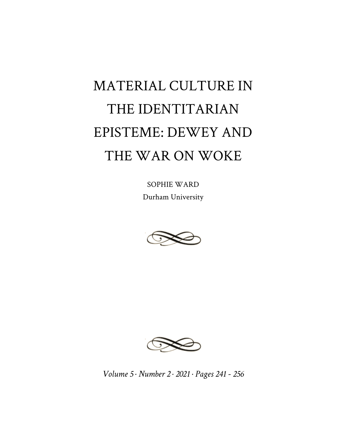## MATERIAL CULTURE IN THE IDENTITARIAN EPISTEME: DEWEY AND THE WAR ON WOKE

SOPHIE WARD Durham University





*Volume 5 · Number 2 · 2021 · Pages 241 - 256*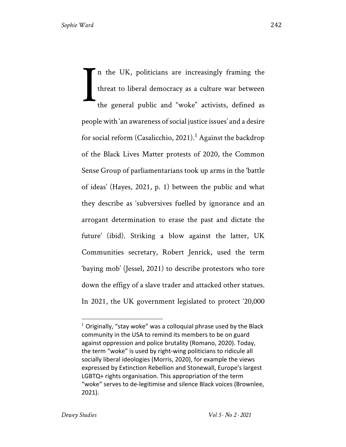n the UK, politicians are increasingly framing the threat to liberal democracy as a culture war between the general public and "woke" activists, defined as people with 'an awareness of social justice issues' and a desire for social reform (Casalicchio, 2021).<sup>1</sup> Against the backdrop of the Black Lives Matter protests of 2020, the Common Sense Group of parliamentarians took up arms in the 'battle of ideas' (Hayes, 2021, p. 1) between the public and what they describe as 'subversives fuelled by ignorance and an arrogant determination to erase the past and dictate the future' (ibid). Striking a blow against the latter, UK Communities secretary, Robert Jenrick, used the term 'baying mob' (Jessel, 2021) to describe protestors who tore down the effigy of a slave trader and attacked other statues. In 2021, the UK government legislated to protect '20,000 I

 $1$  Originally, "stay woke" was a colloquial phrase used by the Black community in the USA to remind its members to be on guard against oppression and police brutality (Romano, 2020). Today, the term "woke" is used by right-wing politicians to ridicule all socially liberal ideologies (Morris, 2020), for example the views expressed by Extinction Rebellion and Stonewall, Europe's largest LGBTQ+ rights organisation. This appropriation of the term "woke" serves to de-legitimise and silence Black voices (Brownlee, 2021).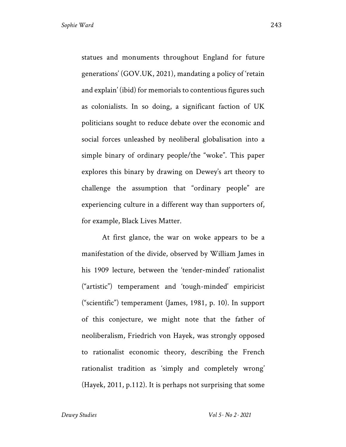statues and monuments throughout England for future generations' (GOV.UK, 2021), mandating a policy of 'retain and explain' (ibid) for memorials to contentious figures such as colonialists. In so doing, a significant faction of UK politicians sought to reduce debate over the economic and social forces unleashed by neoliberal globalisation into a simple binary of ordinary people/the "woke". This paper explores this binary by drawing on Dewey's art theory to challenge the assumption that "ordinary people" are experiencing culture in a different way than supporters of, for example, Black Lives Matter.

At first glance, the war on woke appears to be a manifestation of the divide, observed by William James in his 1909 lecture, between the 'tender-minded' rationalist ("artistic") temperament and 'tough-minded' empiricist ("scientific") temperament (James, 1981, p. 10). In support of this conjecture, we might note that the father of neoliberalism, Friedrich von Hayek, was strongly opposed to rationalist economic theory, describing the French rationalist tradition as 'simply and completely wrong' (Hayek, 2011, p.112). It is perhaps not surprising that some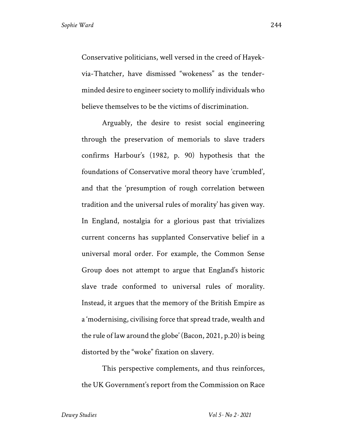Conservative politicians, well versed in the creed of Hayekvia-Thatcher, have dismissed "wokeness" as the tenderminded desire to engineer society to mollify individuals who believe themselves to be the victims of discrimination.

Arguably, the desire to resist social engineering through the preservation of memorials to slave traders confirms Harbour's (1982, p. 90) hypothesis that the foundations of Conservative moral theory have 'crumbled', and that the 'presumption of rough correlation between tradition and the universal rules of morality' has given way. In England, nostalgia for a glorious past that trivializes current concerns has supplanted Conservative belief in a universal moral order. For example, the Common Sense Group does not attempt to argue that England's historic slave trade conformed to universal rules of morality. Instead, it argues that the memory of the British Empire as a 'modernising, civilising force that spread trade, wealth and the rule of law around the globe' (Bacon, 2021, p.20) is being distorted by the "woke" fixation on slavery.

This perspective complements, and thus reinforces, the UK Government's report from the Commission on Race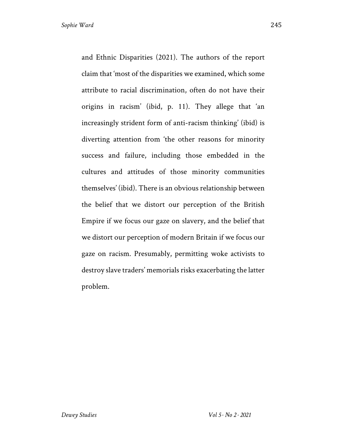and Ethnic Disparities (2021). The authors of the report claim that 'most of the disparities we examined, which some attribute to racial discrimination, often do not have their origins in racism' (ibid, p. 11). They allege that 'an increasingly strident form of anti-racism thinking' (ibid) is diverting attention from 'the other reasons for minority success and failure, including those embedded in the cultures and attitudes of those minority communities themselves' (ibid). There is an obvious relationship between the belief that we distort our perception of the British Empire if we focus our gaze on slavery, and the belief that we distort our perception of modern Britain if we focus our gaze on racism. Presumably, permitting woke activists to destroy slave traders' memorials risks exacerbating the latter problem.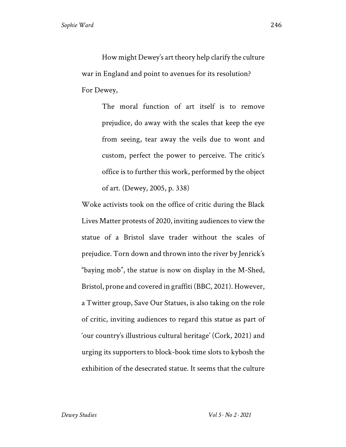How might Dewey's art theory help clarify the culture war in England and point to avenues for its resolution? For Dewey,

> The moral function of art itself is to remove prejudice, do away with the scales that keep the eye from seeing, tear away the veils due to wont and custom, perfect the power to perceive. The critic's office is to further this work, performed by the object of art. (Dewey, 2005, p. 338)

Woke activists took on the office of critic during the Black Lives Matter protests of 2020, inviting audiences to view the statue of a Bristol slave trader without the scales of prejudice. Torn down and thrown into the river by Jenrick's "baying mob", the statue is now on display in the M-Shed, Bristol, prone and covered in graffiti (BBC, 2021). However, a Twitter group, Save Our Statues, is also taking on the role of critic, inviting audiences to regard this statue as part of 'our country's illustrious cultural heritage' (Cork, 2021) and urging its supporters to block-book time slots to kybosh the exhibition of the desecrated statue. It seems that the culture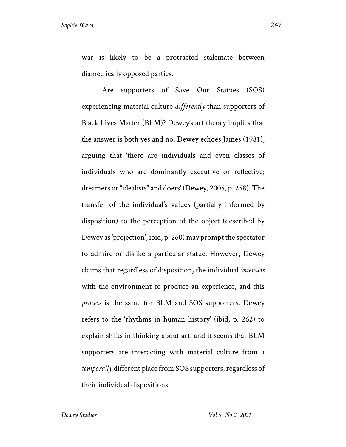war is likely to be a protracted stalemate between diametrically opposed parties.

Are supporters of Save Our Statues (SOS) experiencing material culture *differently* than supporters of Black Lives Matter (BLM)? Dewey's art theory implies that the answer is both yes and no. Dewey echoes James (1981), arguing that 'there are individuals and even classes of individuals who are dominantly executive or reflective; dreamers or "idealists" and doers' (Dewey, 2005, p. 258). The transfer of the individual's values (partially informed by disposition) to the perception of the object (described by Dewey as 'projection', ibid, p. 260) may prompt the spectator to admire or dislike a particular statue. However, Dewey claims that regardless of disposition, the individual *interacts*  with the environment to produce an experience, and this *process* is the same for BLM and SOS supporters. Dewey refers to the 'rhythms in human history' (ibid, p. 262) to explain shifts in thinking about art, and it seems that BLM supporters are interacting with material culture from a *temporally* different place from SOS supporters, regardless of their individual dispositions.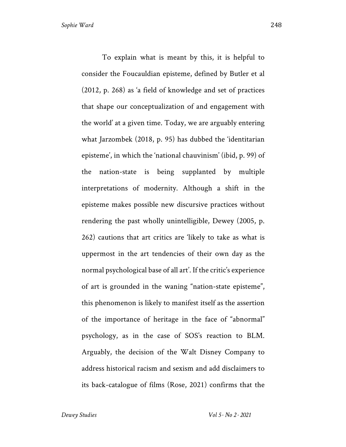To explain what is meant by this, it is helpful to consider the Foucauldian episteme, defined by Butler et al (2012, p. 268) as 'a field of knowledge and set of practices that shape our conceptualization of and engagement with the world' at a given time. Today, we are arguably entering what Jarzombek (2018, p. 95) has dubbed the 'identitarian episteme', in which the 'national chauvinism' (ibid, p. 99) of the nation-state is being supplanted by multiple interpretations of modernity. Although a shift in the episteme makes possible new discursive practices without rendering the past wholly unintelligible, Dewey (2005, p. 262) cautions that art critics are 'likely to take as what is uppermost in the art tendencies of their own day as the normal psychological base of all art'. If the critic's experience of art is grounded in the waning "nation-state episteme", this phenomenon is likely to manifest itself as the assertion of the importance of heritage in the face of "abnormal" psychology, as in the case of SOS's reaction to BLM. Arguably, the decision of the Walt Disney Company to address historical racism and sexism and add disclaimers to its back-catalogue of films (Rose, 2021) confirms that the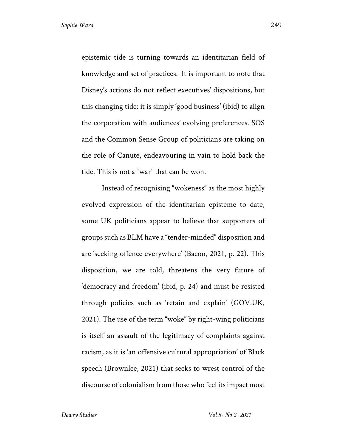epistemic tide is turning towards an identitarian field of knowledge and set of practices. It is important to note that Disney's actions do not reflect executives' dispositions, but this changing tide: it is simply 'good business' (ibid) to align the corporation with audiences' evolving preferences. SOS and the Common Sense Group of politicians are taking on the role of Canute, endeavouring in vain to hold back the tide. This is not a "war" that can be won.

Instead of recognising "wokeness" as the most highly evolved expression of the identitarian episteme to date, some UK politicians appear to believe that supporters of groups such as BLM have a "tender-minded" disposition and are 'seeking offence everywhere' (Bacon, 2021, p. 22). This disposition, we are told, threatens the very future of 'democracy and freedom' (ibid, p. 24) and must be resisted through policies such as 'retain and explain' (GOV.UK, 2021). The use of the term "woke" by right-wing politicians is itself an assault of the legitimacy of complaints against racism, as it is 'an offensive cultural appropriation' of Black speech (Brownlee, 2021) that seeks to wrest control of the discourse of colonialism from those who feel its impact most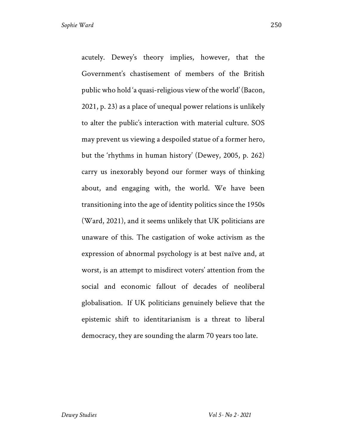acutely. Dewey's theory implies, however, that the Government's chastisement of members of the British public who hold 'a quasi-religious view of the world' (Bacon, 2021, p. 23) as a place of unequal power relations is unlikely to alter the public's interaction with material culture. SOS may prevent us viewing a despoiled statue of a former hero, but the 'rhythms in human history' (Dewey, 2005, p. 262) carry us inexorably beyond our former ways of thinking about, and engaging with, the world. We have been transitioning into the age of identity politics since the 1950s (Ward, 2021), and it seems unlikely that UK politicians are unaware of this. The castigation of woke activism as the expression of abnormal psychology is at best naïve and, at worst, is an attempt to misdirect voters' attention from the social and economic fallout of decades of neoliberal globalisation. If UK politicians genuinely believe that the epistemic shift to identitarianism is a threat to liberal democracy, they are sounding the alarm 70 years too late.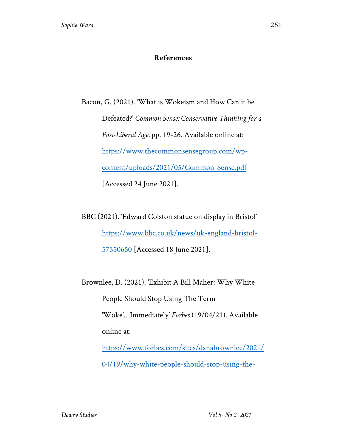## **References**

Bacon, G. (2021). 'What is Wokeism and How Can it be Defeated?' *Common Sense: Conservative Thinking for a Post-Liberal Age.* pp. 19-26. Available online at: https://www.thecommonsensegroup.com/wpcontent/uploads/2021/05/Common-Sense.pdf [Accessed 24 June 2021].

BBC (2021). 'Edward Colston statue on display in Bristol' https://www.bbc.co.uk/news/uk-england-bristol-57350650 [Accessed 18 June 2021].

Brownlee, D. (2021). 'Exhibit A Bill Maher: Why White People Should Stop Using The Term 'Woke'…Immediately' *Forbes* (19/04/21). Available online at: https://www.forbes.com/sites/danabrownlee/2021/ 04/19/why-white-people-should-stop-using-the-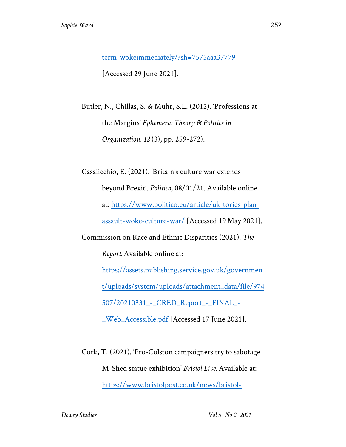term-wokeimmediately/?sh=7575aaa37779 [Accessed 29 June 2021].

Butler, N., Chillas, S. & Muhr, S.L. (2012). 'Professions at the Margins' *Ephemera: Theory & Politics in Organization, 12* (3), pp. 259-272).

Casalicchio, E. (2021). 'Britain's culture war extends beyond Brexit'. *Politico*, 08/01/21. Available online at: https://www.politico.eu/article/uk-tories-planassault-woke-culture-war/ [Accessed 19 May 2021]. Commission on Race and Ethnic Disparities (2021). *The Report.* Available online at: https://assets.publishing.service.gov.uk/governmen t/uploads/system/uploads/attachment\_data/file/974 507/20210331\_-\_CRED\_Report\_-\_FINAL\_- \_Web\_Accessible.pdf [Accessed 17 June 2021].

Cork, T. (2021). 'Pro-Colston campaigners try to sabotage M-Shed statue exhibition' *Bristol Live.* Available at: https://www.bristolpost.co.uk/news/bristol-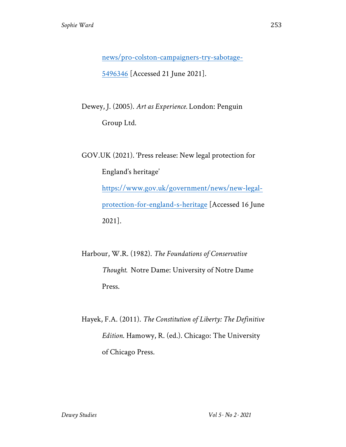news/pro-colston-campaigners-try-sabotage-5496346 [Accessed 21 June 2021].

Dewey, J. (2005). *Art as Experience.* London: Penguin Group Ltd.

GOV.UK (2021). 'Press release: New legal protection for England's heritage' https://www.gov.uk/government/news/new-legalprotection-for-england-s-heritage [Accessed 16 June 2021].

Harbour, W.R. (1982). *The Foundations of Conservative Thought.* Notre Dame: University of Notre Dame Press.

Hayek, F.A. (2011). *The Constitution of Liberty: The Definitive Edition*. Hamowy, R. (ed.). Chicago: The University of Chicago Press.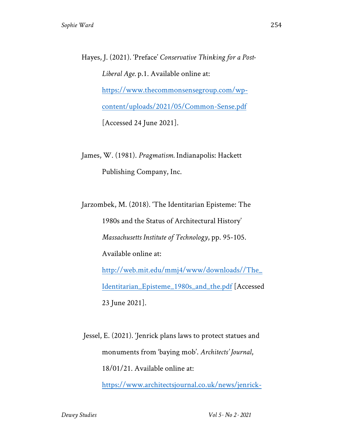Hayes, J. (2021). 'Preface' *Conservative Thinking for a Post-Liberal Age.* p.1. Available online at: https://www.thecommonsensegroup.com/wpcontent/uploads/2021/05/Common-Sense.pdf [Accessed 24 June 2021].

James, W. (1981). *Pragmatism.* Indianapolis: Hackett Publishing Company, Inc.

Jarzombek, M. (2018). 'The Identitarian Episteme: The 1980s and the Status of Architectural History' *Massachusetts Institute of Technology*, pp. 95-105. Available online at: http://web.mit.edu/mmj4/www/downloads//The\_ Identitarian\_Episteme\_1980s\_and\_the.pdf [Accessed 23 June 2021].

Jessel, E. (2021). 'Jenrick plans laws to protect statues and monuments from 'baying mob'. *Architects' Journal*, 18/01/21. Available online at:

https://www.architectsjournal.co.uk/news/jenrick-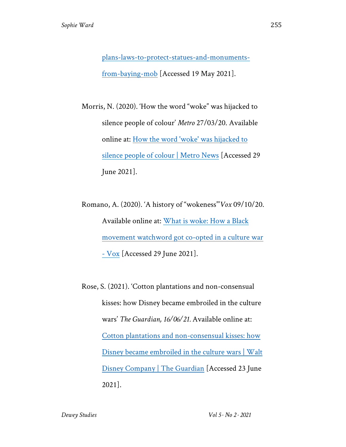plans-laws-to-protect-statues-and-monumentsfrom-baying-mob [Accessed 19 May 2021].

Morris, N. (2020). 'How the word "woke" was hijacked to silence people of colour' *Metro* 27/03/20. Available online at: How the word 'woke' was hijacked to silence people of colour | Metro News [Accessed 29 June 2021].

Romano, A. (2020). 'A history of "wokeness"'*Vox* 09/10/20. Available online at: What is woke: How a Black movement watchword got co-opted in a culture war - Vox [Accessed 29 June 2021].

Rose, S. (2021). 'Cotton plantations and non-consensual kisses: how Disney became embroiled in the culture wars' *The Guardian, 16/06/21.* Available online at: Cotton plantations and non-consensual kisses: how Disney became embroiled in the culture wars | Walt Disney Company | The Guardian [Accessed 23 June 2021].